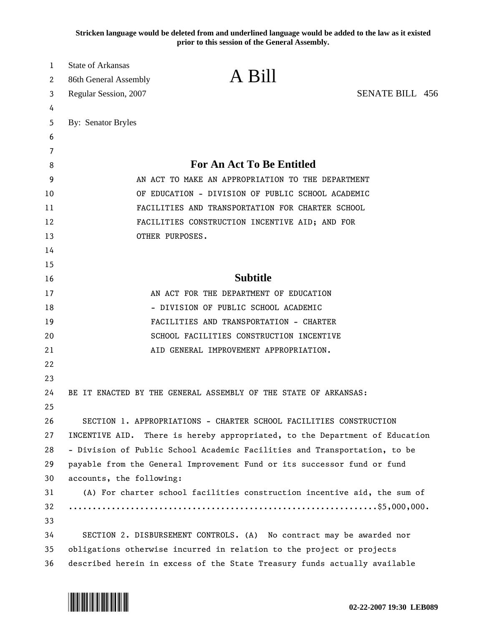**Stricken language would be deleted from and underlined language would be added to the law as it existed prior to this session of the General Assembly.**

| 1  | <b>State of Arkansas</b>                                                  |                                                                             |                        |  |
|----|---------------------------------------------------------------------------|-----------------------------------------------------------------------------|------------------------|--|
| 2  | 86th General Assembly                                                     | A Bill                                                                      |                        |  |
| 3  | Regular Session, 2007                                                     |                                                                             | <b>SENATE BILL 456</b> |  |
| 4  |                                                                           |                                                                             |                        |  |
| 5  | By: Senator Bryles                                                        |                                                                             |                        |  |
| 6  |                                                                           |                                                                             |                        |  |
| 7  |                                                                           |                                                                             |                        |  |
| 8  | For An Act To Be Entitled                                                 |                                                                             |                        |  |
| 9  |                                                                           | AN ACT TO MAKE AN APPROPRIATION TO THE DEPARTMENT                           |                        |  |
| 10 | OF EDUCATION - DIVISION OF PUBLIC SCHOOL ACADEMIC                         |                                                                             |                        |  |
| 11 | FACILITIES AND TRANSPORTATION FOR CHARTER SCHOOL                          |                                                                             |                        |  |
| 12 |                                                                           | FACILITIES CONSTRUCTION INCENTIVE AID; AND FOR                              |                        |  |
| 13 | OTHER PURPOSES.                                                           |                                                                             |                        |  |
| 14 |                                                                           |                                                                             |                        |  |
| 15 |                                                                           |                                                                             |                        |  |
| 16 |                                                                           | <b>Subtitle</b>                                                             |                        |  |
| 17 |                                                                           | AN ACT FOR THE DEPARTMENT OF EDUCATION                                      |                        |  |
| 18 |                                                                           | - DIVISION OF PUBLIC SCHOOL ACADEMIC                                        |                        |  |
| 19 |                                                                           | FACILITIES AND TRANSPORTATION - CHARTER                                     |                        |  |
| 20 |                                                                           | SCHOOL FACILITIES CONSTRUCTION INCENTIVE                                    |                        |  |
| 21 |                                                                           | AID GENERAL IMPROVEMENT APPROPRIATION.                                      |                        |  |
| 22 |                                                                           |                                                                             |                        |  |
| 23 |                                                                           |                                                                             |                        |  |
| 24 |                                                                           | BE IT ENACTED BY THE GENERAL ASSEMBLY OF THE STATE OF ARKANSAS:             |                        |  |
| 25 |                                                                           |                                                                             |                        |  |
| 26 |                                                                           | SECTION 1. APPROPRIATIONS - CHARTER SCHOOL FACILITIES CONSTRUCTION          |                        |  |
| 27 |                                                                           | INCENTIVE AID. There is hereby appropriated, to the Department of Education |                        |  |
| 28 |                                                                           | - Division of Public School Academic Facilities and Transportation, to be   |                        |  |
| 29 |                                                                           | payable from the General Improvement Fund or its successor fund or fund     |                        |  |
| 30 | accounts, the following:                                                  |                                                                             |                        |  |
| 31 |                                                                           | (A) For charter school facilities construction incentive aid, the sum of    |                        |  |
| 32 |                                                                           |                                                                             |                        |  |
| 33 |                                                                           |                                                                             |                        |  |
| 34 |                                                                           | SECTION 2. DISBURSEMENT CONTROLS. (A) No contract may be awarded nor        |                        |  |
| 35 | obligations otherwise incurred in relation to the project or projects     |                                                                             |                        |  |
| 36 | described herein in excess of the State Treasury funds actually available |                                                                             |                        |  |